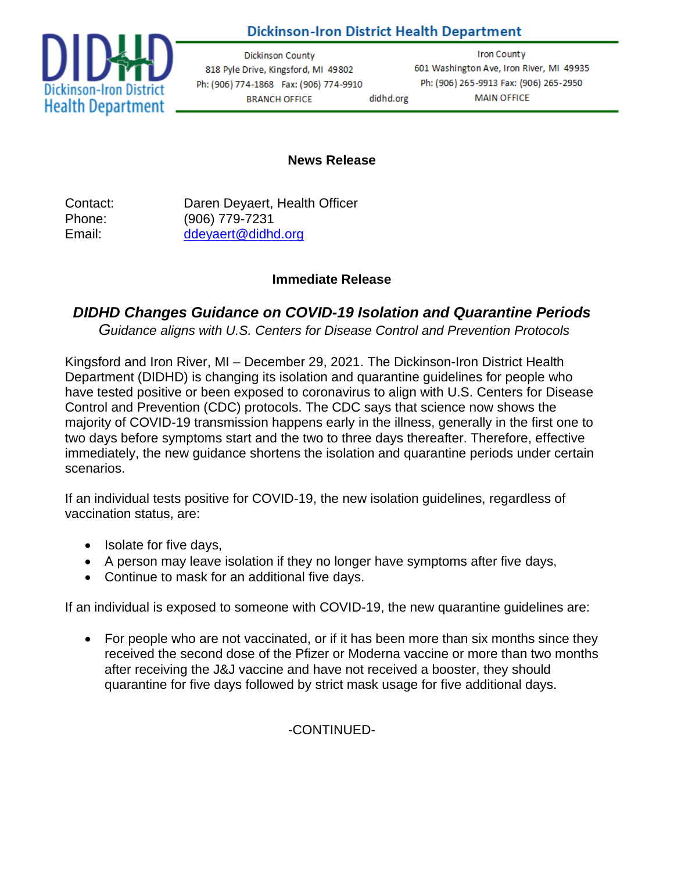## **Dickinson-Iron District Health Department**



**Dickinson County** 818 Pyle Drive, Kingsford, MI 49802 Ph: (906) 774-1868 Fax: (906) 774-9910 **BRANCH OFFICE** 

Iron County 601 Washington Ave, Iron River, MI 49935 Ph: (906) 265-9913 Fax: (906) 265-2950 didhd.org **MAIN OFFICE** 

## **News Release**

Contact: Daren Deyaert, Health Officer Phone: (906) 779-7231 Email: [ddeyaert@didhd.org](mailto:ddeyaert@didhd.org)

## **Immediate Release**

## *DIDHD Changes Guidance on COVID-19 Isolation and Quarantine Periods*

*Guidance aligns with U.S. Centers for Disease Control and Prevention Protocols*

Kingsford and Iron River, MI – December 29, 2021. The Dickinson-Iron District Health Department (DIDHD) is changing its isolation and quarantine guidelines for people who have tested positive or been exposed to coronavirus to align with U.S. Centers for Disease Control and Prevention (CDC) protocols. The CDC says that science now shows the majority of COVID-19 transmission happens early in the illness, generally in the first one to two days before symptoms start and the two to three days thereafter. Therefore, effective immediately, the new guidance shortens the isolation and quarantine periods under certain scenarios.

If an individual tests positive for COVID-19, the new isolation guidelines, regardless of vaccination status, are:

- Isolate for five days,
- A person may leave isolation if they no longer have symptoms after five days,
- Continue to mask for an additional five days.

If an individual is exposed to someone with COVID-19, the new quarantine guidelines are:

• For people who are not vaccinated, or if it has been more than six months since they received the second dose of the Pfizer or Moderna vaccine or more than two months after receiving the J&J vaccine and have not received a booster, they should quarantine for five days followed by strict mask usage for five additional days.

-CONTINUED-